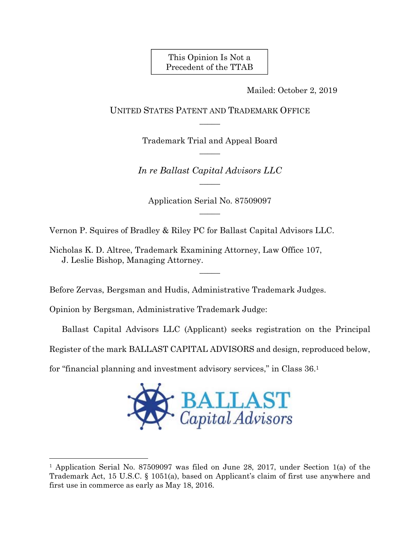This Opinion Is Not a Precedent of the TTAB

Mailed: October 2, 2019

UNITED STATES PATENT AND TRADEMARK OFFICE  $\overline{\phantom{a}}$ 

> Trademark Trial and Appeal Board  $\overline{\phantom{a}}$

*In re Ballast Capital Advisors LLC*   $\overline{\phantom{a}}$ 

Application Serial No. 87509097  $\overline{\phantom{a}}$ 

 $\overline{\phantom{a}}$ 

Vernon P. Squires of Bradley & Riley PC for Ballast Capital Advisors LLC.

Nicholas K. D. Altree, Trademark Examining Attorney, Law Office 107, J. Leslie Bishop, Managing Attorney.

Before Zervas, Bergsman and Hudis, Administrative Trademark Judges.

Opinion by Bergsman, Administrative Trademark Judge:

l

Ballast Capital Advisors LLC (Applicant) seeks registration on the Principal

Register of the mark BALLAST CAPITAL ADVISORS and design, reproduced below,

for "financial planning and investment advisory services," in Class 36.1



<sup>&</sup>lt;sup>1</sup> Application Serial No. 87509097 was filed on June 28, 2017, under Section 1(a) of the Trademark Act, 15 U.S.C. § 1051(a), based on Applicant's claim of first use anywhere and first use in commerce as early as May 18, 2016.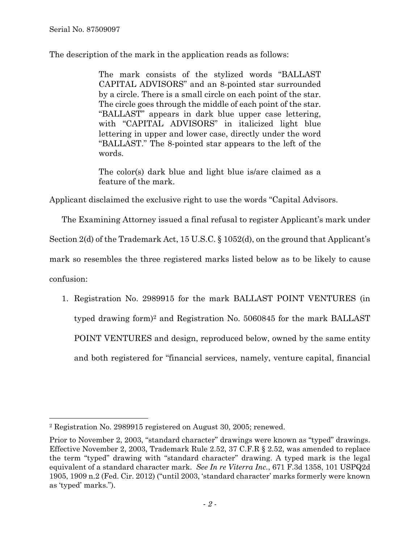The description of the mark in the application reads as follows:

The mark consists of the stylized words "BALLAST CAPITAL ADVISORS" and an 8-pointed star surrounded by a circle. There is a small circle on each point of the star. The circle goes through the middle of each point of the star. "BALLAST" appears in dark blue upper case lettering, with "CAPITAL ADVISORS" in italicized light blue lettering in upper and lower case, directly under the word "BALLAST." The 8-pointed star appears to the left of the words.

The color(s) dark blue and light blue is/are claimed as a feature of the mark.

Applicant disclaimed the exclusive right to use the words "Capital Advisors.

The Examining Attorney issued a final refusal to register Applicant's mark under

Section 2(d) of the Trademark Act, 15 U.S.C. § 1052(d), on the ground that Applicant's

mark so resembles the three registered marks listed below as to be likely to cause

confusion:

1. Registration No. 2989915 for the mark BALLAST POINT VENTURES (in typed drawing form)2 and Registration No. 5060845 for the mark BALLAST POINT VENTURES and design, reproduced below, owned by the same entity and both registered for "financial services, namely, venture capital, financial

l 2 Registration No. 2989915 registered on August 30, 2005; renewed.

Prior to November 2, 2003, "standard character" drawings were known as "typed" drawings. Effective November 2, 2003, Trademark Rule 2.52, 37 C.F.R § 2.52, was amended to replace the term "typed" drawing with "standard character" drawing. A typed mark is the legal equivalent of a standard character mark. *See In re Viterra Inc.*, 671 F.3d 1358, 101 USPQ2d 1905, 1909 n.2 (Fed. Cir. 2012) ("until 2003, 'standard character' marks formerly were known as 'typed' marks.").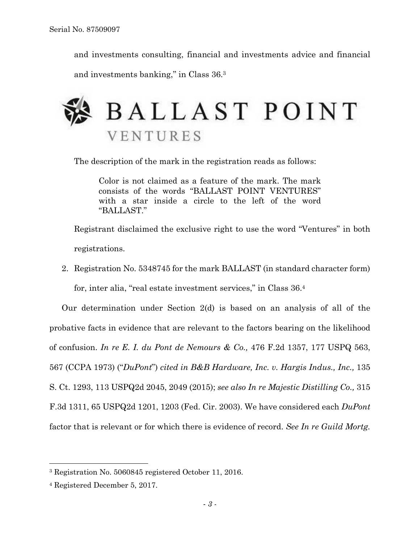and investments consulting, financial and investments advice and financial and investments banking," in Class 36.3



The description of the mark in the registration reads as follows:

Color is not claimed as a feature of the mark. The mark consists of the words "BALLAST POINT VENTURES" with a star inside a circle to the left of the word "BALLAST."

Registrant disclaimed the exclusive right to use the word "Ventures" in both registrations.

2. Registration No. 5348745 for the mark BALLAST (in standard character form) for, inter alia, "real estate investment services," in Class 36.4

Our determination under Section 2(d) is based on an analysis of all of the probative facts in evidence that are relevant to the factors bearing on the likelihood of confusion. *In re E. I. du Pont de Nemours & Co.,* 476 F.2d 1357, 177 USPQ 563, 567 (CCPA 1973) ("*DuPont*") *cited in B&B Hardware, Inc. v. Hargis Indus., Inc.,* 135 S. Ct. 1293, 113 USPQ2d 2045, 2049 (2015); *see also In re Majestic Distilling Co.,* 315 F.3d 1311, 65 USPQ2d 1201, 1203 (Fed. Cir. 2003). We have considered each *DuPont* factor that is relevant or for which there is evidence of record. *See In re Guild Mortg.* 

<sup>3</sup> Registration No. 5060845 registered October 11, 2016.

<sup>4</sup> Registered December 5, 2017.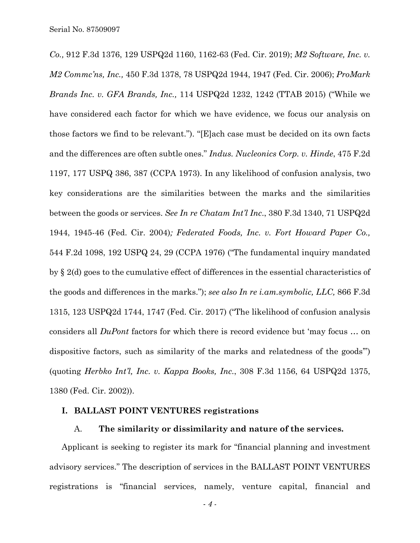*Co.,* 912 F.3d 1376, 129 USPQ2d 1160, 1162-63 (Fed. Cir. 2019); *M2 Software, Inc. v. M2 Commc'ns, Inc.,* 450 F.3d 1378, 78 USPQ2d 1944, 1947 (Fed. Cir. 2006); *ProMark Brands Inc. v. GFA Brands, Inc.,* 114 USPQ2d 1232, 1242 (TTAB 2015) ("While we have considered each factor for which we have evidence, we focus our analysis on those factors we find to be relevant."). "[E]ach case must be decided on its own facts and the differences are often subtle ones." *Indus. Nucleonics Corp. v. Hinde*, 475 F.2d 1197, 177 USPQ 386, 387 (CCPA 1973). In any likelihood of confusion analysis, two key considerations are the similarities between the marks and the similarities between the goods or services. *See In re Chatam Int'l Inc*., 380 F.3d 1340, 71 USPQ2d 1944, 1945-46 (Fed. Cir. 2004)*; Federated Foods, Inc. v. Fort Howard Paper Co.,*  544 F.2d 1098, 192 USPQ 24, 29 (CCPA 1976) ("The fundamental inquiry mandated by § 2(d) goes to the cumulative effect of differences in the essential characteristics of the goods and differences in the marks."); *see also In re i.am.symbolic, LLC,* 866 F.3d 1315, 123 USPQ2d 1744, 1747 (Fed. Cir. 2017) ("The likelihood of confusion analysis considers all *DuPont* factors for which there is record evidence but 'may focus … on dispositive factors, such as similarity of the marks and relatedness of the goods'") (quoting *Herbko Int'l, Inc. v. Kappa Books, Inc.*, 308 F.3d 1156, 64 USPQ2d 1375, 1380 (Fed. Cir. 2002)).

### **I. BALLAST POINT VENTURES registrations**

#### A. **The similarity or dissimilarity and nature of the services.**

Applicant is seeking to register its mark for "financial planning and investment advisory services." The description of services in the BALLAST POINT VENTURES registrations is "financial services, namely, venture capital, financial and

*- 4 -*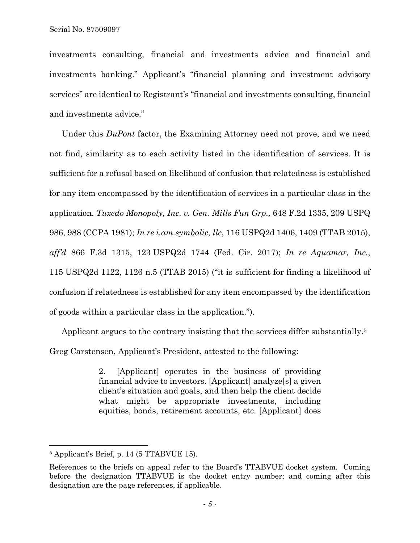investments consulting, financial and investments advice and financial and investments banking." Applicant's "financial planning and investment advisory services" are identical to Registrant's "financial and investments consulting, financial and investments advice."

Under this *DuPont* factor, the Examining Attorney need not prove, and we need not find, similarity as to each activity listed in the identification of services. It is sufficient for a refusal based on likelihood of confusion that relatedness is established for any item encompassed by the identification of services in a particular class in the application. *Tuxedo Monopoly, Inc. v. Gen. Mills Fun Grp.,* 648 F.2d 1335, 209 USPQ 986, 988 (CCPA 1981); *In re i.am.symbolic, llc*, 116 USPQ2d 1406, 1409 (TTAB 2015), *aff'd* 866 F.3d 1315, 123 USPQ2d 1744 (Fed. Cir. 2017); *In re Aquamar, Inc.*, 115 USPQ2d 1122, 1126 n.5 (TTAB 2015) ("it is sufficient for finding a likelihood of confusion if relatedness is established for any item encompassed by the identification of goods within a particular class in the application.").

Applicant argues to the contrary insisting that the services differ substantially.5 Greg Carstensen, Applicant's President, attested to the following:

> 2. [Applicant] operates in the business of providing financial advice to investors. [Applicant] analyze[s] a given client's situation and goals, and then help the client decide what might be appropriate investments, including equities, bonds, retirement accounts, etc. [Applicant] does

1

<sup>5</sup> Applicant's Brief, p. 14 (5 TTABVUE 15).

References to the briefs on appeal refer to the Board's TTABVUE docket system. Coming before the designation TTABVUE is the docket entry number; and coming after this designation are the page references, if applicable.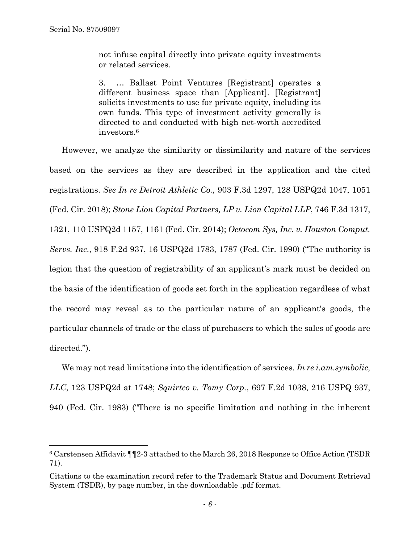1

not infuse capital directly into private equity investments or related services.

3. … Ballast Point Ventures [Registrant] operates a different business space than [Applicant]. [Registrant] solicits investments to use for private equity, including its own funds. This type of investment activity generally is directed to and conducted with high net-worth accredited investors.6

However, we analyze the similarity or dissimilarity and nature of the services based on the services as they are described in the application and the cited registrations. *See In re Detroit Athletic Co.,* 903 F.3d 1297, 128 USPQ2d 1047, 1051 (Fed. Cir. 2018); *Stone Lion Capital Partners, LP v. Lion Capital LLP*, 746 F.3d 1317, 1321, 110 USPQ2d 1157, 1161 (Fed. Cir. 2014); *Octocom Sys, Inc. v. Houston Comput. Servs. Inc.*, 918 F.2d 937, 16 USPQ2d 1783, 1787 (Fed. Cir. 1990) ("The authority is legion that the question of registrability of an applicant's mark must be decided on the basis of the identification of goods set forth in the application regardless of what the record may reveal as to the particular nature of an applicant's goods, the particular channels of trade or the class of purchasers to which the sales of goods are directed.").

We may not read limitations into the identification of services. *In re i.am.symbolic, LLC*, 123 USPQ2d at 1748; *Squirtco v. Tomy Corp.*, 697 F.2d 1038, 216 USPQ 937, 940 (Fed. Cir. 1983) ("There is no specific limitation and nothing in the inherent

<sup>6</sup> Carstensen Affidavit ¶¶2-3 attached to the March 26, 2018 Response to Office Action (TSDR 71).

Citations to the examination record refer to the Trademark Status and Document Retrieval System (TSDR), by page number, in the downloadable .pdf format.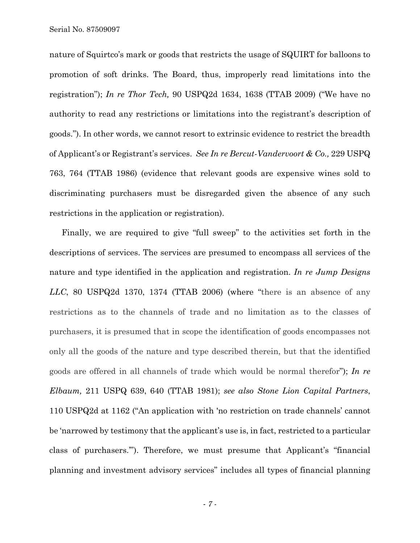Serial No. 87509097

nature of Squirtco's mark or goods that restricts the usage of SQUIRT for balloons to promotion of soft drinks. The Board, thus, improperly read limitations into the registration"); *In re Thor Tech,* 90 USPQ2d 1634, 1638 (TTAB 2009) ("We have no authority to read any restrictions or limitations into the registrant's description of goods."). In other words, we cannot resort to extrinsic evidence to restrict the breadth of Applicant's or Registrant's services. *See In re Bercut-Vandervoort & Co.,* 229 USPQ 763, 764 (TTAB 1986) (evidence that relevant goods are expensive wines sold to discriminating purchasers must be disregarded given the absence of any such restrictions in the application or registration).

Finally, we are required to give "full sweep" to the activities set forth in the descriptions of services. The services are presumed to encompass all services of the nature and type identified in the application and registration. *In re Jump Designs LLC*, 80 USPQ2d 1370, 1374 (TTAB 2006) (where "there is an absence of any restrictions as to the channels of trade and no limitation as to the classes of purchasers, it is presumed that in scope the identification of goods encompasses not only all the goods of the nature and type described therein, but that the identified goods are offered in all channels of trade which would be normal therefor"); *In re Elbaum,* 211 USPQ 639, 640 (TTAB 1981); *see also Stone Lion Capital Partners*, 110 USPQ2d at 1162 ("An application with 'no restriction on trade channels' cannot be 'narrowed by testimony that the applicant's use is, in fact, restricted to a particular class of purchasers.'"). Therefore, we must presume that Applicant's "financial planning and investment advisory services" includes all types of financial planning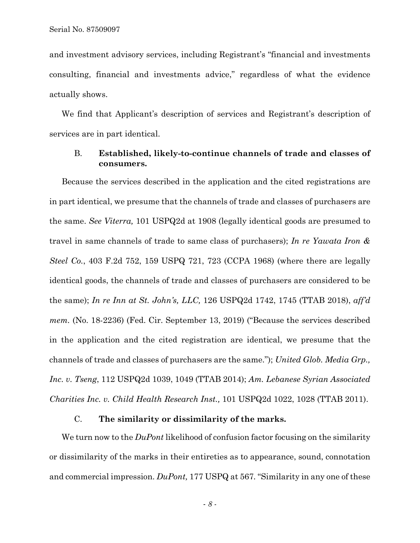and investment advisory services, including Registrant's "financial and investments consulting, financial and investments advice," regardless of what the evidence actually shows.

We find that Applicant's description of services and Registrant's description of services are in part identical.

# B. **Established, likely-to-continue channels of trade and classes of consumers.**

Because the services described in the application and the cited registrations are in part identical, we presume that the channels of trade and classes of purchasers are the same. *See Viterra,* 101 USPQ2d at 1908 (legally identical goods are presumed to travel in same channels of trade to same class of purchasers); *In re Yawata Iron & Steel Co.*, 403 F.2d 752, 159 USPQ 721, 723 (CCPA 1968) (where there are legally identical goods, the channels of trade and classes of purchasers are considered to be the same); *In re Inn at St. John's, LLC,* 126 USPQ2d 1742, 1745 (TTAB 2018), *aff'd mem.* (No. 18-2236) (Fed. Cir. September 13, 2019) ("Because the services described in the application and the cited registration are identical, we presume that the channels of trade and classes of purchasers are the same."); *United Glob. Media Grp., Inc. v. Tseng*, 112 USPQ2d 1039, 1049 (TTAB 2014); *Am. Lebanese Syrian Associated Charities Inc. v. Child Health Research Inst.,* 101 USPQ2d 1022, 1028 (TTAB 2011).

# C. **The similarity or dissimilarity of the marks.**

We turn now to the *DuPont* likelihood of confusion factor focusing on the similarity or dissimilarity of the marks in their entireties as to appearance, sound, connotation and commercial impression. *DuPont,* 177 USPQ at 567*.* "Similarity in any one of these

*- 8 -*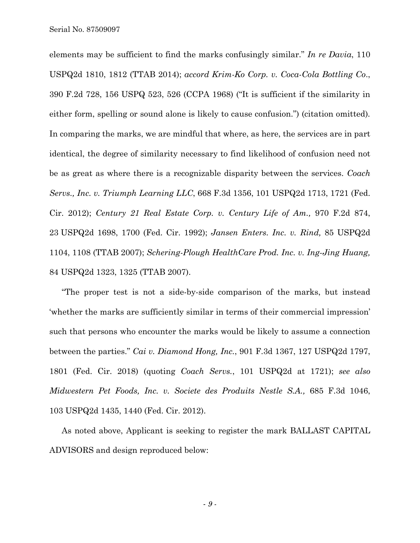elements may be sufficient to find the marks confusingly similar." *In re Davia*, 110 USPQ2d 1810, 1812 (TTAB 2014); *accord Krim-Ko Corp. v. Coca-Cola Bottling Co*., 390 F.2d 728, 156 USPQ 523, 526 (CCPA 1968) ("It is sufficient if the similarity in either form, spelling or sound alone is likely to cause confusion.") (citation omitted)*.* In comparing the marks, we are mindful that where, as here, the services are in part identical, the degree of similarity necessary to find likelihood of confusion need not be as great as where there is a recognizable disparity between the services. *Coach Servs., Inc. v. Triumph Learning LLC*, 668 F.3d 1356, 101 USPQ2d 1713, 1721 (Fed. Cir. 2012); *Century 21 Real Estate Corp. v. Century Life of Am.,* 970 F.2d 874, 23 USPQ2d 1698, 1700 (Fed. Cir. 1992); *Jansen Enters. Inc. v. Rind,* 85 USPQ2d 1104, 1108 (TTAB 2007); *Schering-Plough HealthCare Prod. Inc. v. Ing-Jing Huang,*  84 USPQ2d 1323, 1325 (TTAB 2007).

"The proper test is not a side-by-side comparison of the marks, but instead 'whether the marks are sufficiently similar in terms of their commercial impression' such that persons who encounter the marks would be likely to assume a connection between the parties." *Cai v. Diamond Hong, Inc.*, 901 F.3d 1367, 127 USPQ2d 1797, 1801 (Fed. Cir. 2018) (quoting *Coach Servs.*, 101 USPQ2d at 1721); *see also Midwestern Pet Foods, Inc. v. Societe des Produits Nestle S.A.,* 685 F.3d 1046, 103 USPQ2d 1435, 1440 (Fed. Cir. 2012).

As noted above, Applicant is seeking to register the mark BALLAST CAPITAL ADVISORS and design reproduced below: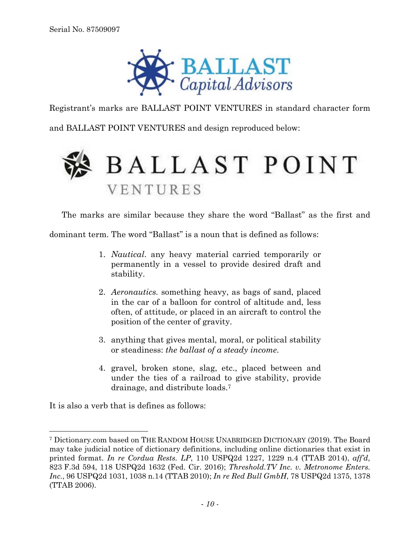

Registrant's marks are BALLAST POINT VENTURES in standard character form

and BALLAST POINT VENTURES and design reproduced below:

# **BALLAST POINT** VENTURES

The marks are similar because they share the word "Ballast" as the first and

dominant term. The word "Ballast" is a noun that is defined as follows:

- 1. *Nautical*. any heavy material carried temporarily or permanently in a vessel to provide desired draft and stability.
- 2. *Aeronautics.* something heavy, as bags of sand, placed in the car of a balloon for control of altitude and, less often, of attitude, or placed in an aircraft to control the position of the center of gravity.
- 3. anything that gives mental, moral, or political stability or steadiness: *the ballast of a steady income*.
- 4. gravel, broken stone, slag, etc., placed between and under the ties of a railroad to give stability, provide drainage, and distribute loads.7

It is also a verb that is defines as follows:

<sup>7</sup> Dictionary.com based on THE RANDOM HOUSE UNABRIDGED DICTIONARY (2019). The Board may take judicial notice of dictionary definitions, including online dictionaries that exist in printed format. *In re Cordua Rests. LP*, 110 USPQ2d 1227, 1229 n.4 (TTAB 2014), *aff'd,* 823 F.3d 594, 118 USPQ2d 1632 (Fed. Cir. 2016); *Threshold.TV Inc. v. Metronome Enters. Inc.*, 96 USPQ2d 1031, 1038 n.14 (TTAB 2010); *In re Red Bull GmbH*, 78 USPQ2d 1375, 1378 (TTAB 2006).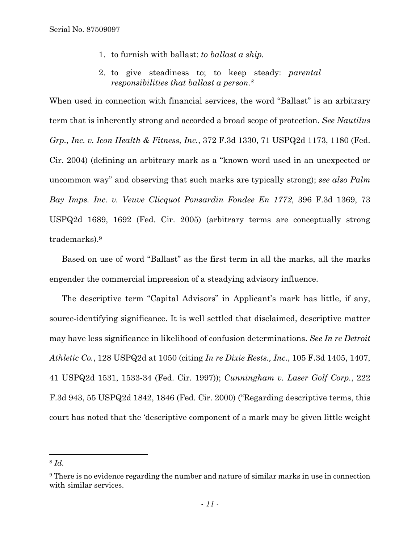- 1. to furnish with ballast: *to ballast a ship.*
- 2. to give steadiness to; to keep steady: *parental responsibilities that ballast a person.8*

When used in connection with financial services, the word "Ballast" is an arbitrary term that is inherently strong and accorded a broad scope of protection. *See Nautilus Grp., Inc. v. Icon Health & Fitness, Inc.*, 372 F.3d 1330, 71 USPQ2d 1173, 1180 (Fed. Cir. 2004) (defining an arbitrary mark as a "known word used in an unexpected or uncommon way" and observing that such marks are typically strong); *see also Palm Bay Imps. Inc. v. Veuve Clicquot Ponsardin Fondee En 1772,* 396 F.3d 1369, 73 USPQ2d 1689, 1692 (Fed. Cir. 2005) (arbitrary terms are conceptually strong trademarks).9

Based on use of word "Ballast" as the first term in all the marks, all the marks engender the commercial impression of a steadying advisory influence.

The descriptive term "Capital Advisors" in Applicant's mark has little, if any, source-identifying significance. It is well settled that disclaimed, descriptive matter may have less significance in likelihood of confusion determinations. *See In re Detroit Athletic Co.*, 128 USPQ2d at 1050 (citing *In re Dixie Rests., Inc.*, 105 F.3d 1405, 1407, 41 USPQ2d 1531, 1533-34 (Fed. Cir. 1997)); *Cunningham v. Laser Golf Corp.*, 222 F.3d 943, 55 USPQ2d 1842, 1846 (Fed. Cir. 2000) ("Regarding descriptive terms, this court has noted that the 'descriptive component of a mark may be given little weight

l

<sup>8</sup> *Id.* 

<sup>9</sup> There is no evidence regarding the number and nature of similar marks in use in connection with similar services.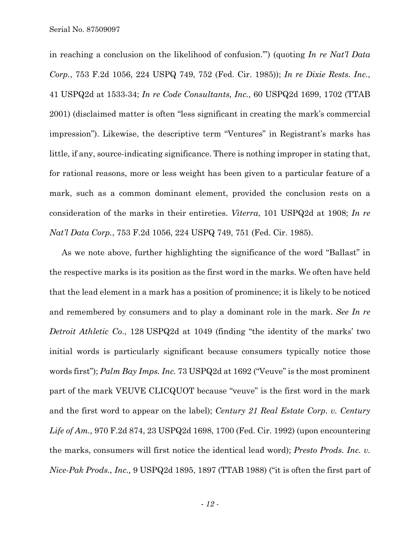in reaching a conclusion on the likelihood of confusion.'") (quoting *In re Nat'l Data Corp.*, 753 F.2d 1056, 224 USPQ 749, 752 (Fed. Cir. 1985)); *In re Dixie Rests. Inc.*, 41 USPQ2d at 1533-34; *In re Code Consultants, Inc.,* 60 USPQ2d 1699, 1702 (TTAB 2001) (disclaimed matter is often "less significant in creating the mark's commercial impression"). Likewise, the descriptive term "Ventures" in Registrant's marks has little, if any, source-indicating significance. There is nothing improper in stating that, for rational reasons, more or less weight has been given to a particular feature of a mark, such as a common dominant element, provided the conclusion rests on a consideration of the marks in their entireties. *Viterra*, 101 USPQ2d at 1908; *In re Nat'l Data Corp.*, 753 F.2d 1056, 224 USPQ 749, 751 (Fed. Cir. 1985).

As we note above, further highlighting the significance of the word "Ballast" in the respective marks is its position as the first word in the marks. We often have held that the lead element in a mark has a position of prominence; it is likely to be noticed and remembered by consumers and to play a dominant role in the mark. *See In re Detroit Athletic Co*., 128 USPQ2d at 1049 (finding "the identity of the marks' two initial words is particularly significant because consumers typically notice those words first"); *Palm Bay Imps. Inc.* 73 USPQ2d at 1692 ("Veuve" is the most prominent part of the mark VEUVE CLICQUOT because "veuve" is the first word in the mark and the first word to appear on the label); *Century 21 Real Estate Corp. v. Century Life of Am.,* 970 F.2d 874, 23 USPQ2d 1698, 1700 (Fed. Cir. 1992) (upon encountering the marks, consumers will first notice the identical lead word); *Presto Prods. Inc. v. Nice-Pak Prods., Inc.,* 9 USPQ2d 1895, 1897 (TTAB 1988) ("it is often the first part of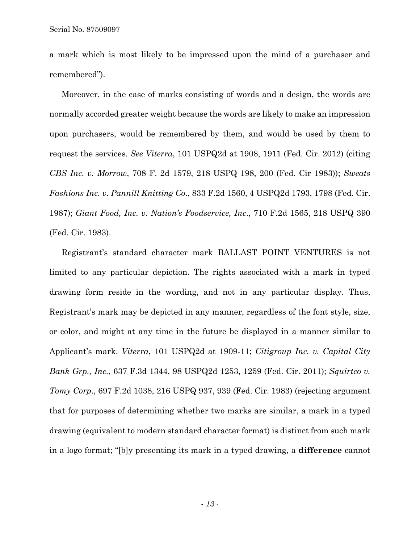a mark which is most likely to be impressed upon the mind of a purchaser and remembered").

Moreover, in the case of marks consisting of words and a design, the words are normally accorded greater weight because the words are likely to make an impression upon purchasers, would be remembered by them, and would be used by them to request the services. *See Viterra*, 101 USPQ2d at 1908, 1911 (Fed. Cir. 2012) (citing *CBS Inc. v. Morrow*, 708 F. 2d 1579, 218 USPQ 198, 200 (Fed. Cir 1983)); *Sweats Fashions Inc. v. Pannill Knitting Co*., 833 F.2d 1560, 4 USPQ2d 1793, 1798 (Fed. Cir. 1987); *Giant Food, Inc. v. Nation's Foodservice, Inc*., 710 F.2d 1565, 218 USPQ 390 (Fed. Cir. 1983).

Registrant's standard character mark BALLAST POINT VENTURES is not limited to any particular depiction. The rights associated with a mark in typed drawing form reside in the wording, and not in any particular display. Thus, Registrant's mark may be depicted in any manner, regardless of the font style, size, or color, and might at any time in the future be displayed in a manner similar to Applicant's mark. *Viterra*, 101 USPQ2d at 1909-11; *Citigroup Inc. v. Capital City Bank Grp., Inc.*, 637 F.3d 1344, 98 USPQ2d 1253, 1259 (Fed. Cir. 2011); *Squirtco v. Tomy Corp*., 697 F.2d 1038, 216 USPQ 937, 939 (Fed. Cir. 1983) (rejecting argument that for purposes of determining whether two marks are similar, a mark in a typed drawing (equivalent to modern standard character format) is distinct from such mark in a logo format; "[b]y presenting its mark in a typed drawing, a **difference** cannot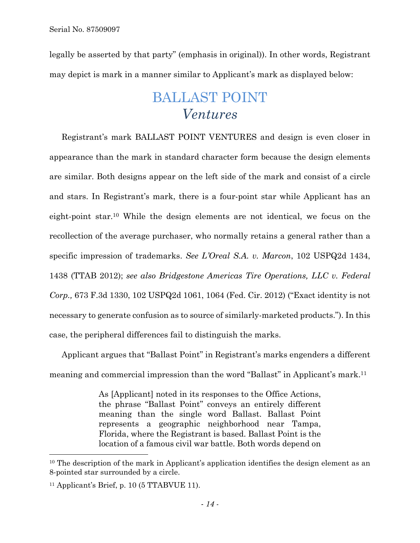legally be asserted by that party" (emphasis in original)). In other words, Registrant may depict is mark in a manner similar to Applicant's mark as displayed below:

# BALLAST POINT *Ventures*

Registrant's mark BALLAST POINT VENTURES and design is even closer in appearance than the mark in standard character form because the design elements are similar. Both designs appear on the left side of the mark and consist of a circle and stars. In Registrant's mark, there is a four-point star while Applicant has an eight-point star.10 While the design elements are not identical, we focus on the recollection of the average purchaser, who normally retains a general rather than a specific impression of trademarks. *See L'Oreal S.A. v. Marcon*, 102 USPQ2d 1434, 1438 (TTAB 2012); *see also Bridgestone Americas Tire Operations, LLC v. Federal Corp.,* 673 F.3d 1330, 102 USPQ2d 1061, 1064 (Fed. Cir. 2012) ("Exact identity is not necessary to generate confusion as to source of similarly-marketed products."). In this case, the peripheral differences fail to distinguish the marks.

Applicant argues that "Ballast Point" in Registrant's marks engenders a different meaning and commercial impression than the word "Ballast" in Applicant's mark.11

> As [Applicant] noted in its responses to the Office Actions, the phrase "Ballast Point" conveys an entirely different meaning than the single word Ballast. Ballast Point represents a geographic neighborhood near Tampa, Florida, where the Registrant is based. Ballast Point is the location of a famous civil war battle. Both words depend on

l

<sup>&</sup>lt;sup>10</sup> The description of the mark in Applicant's application identifies the design element as an 8-pointed star surrounded by a circle.

 $11$  Applicant's Brief, p. 10 (5 TTABVUE 11).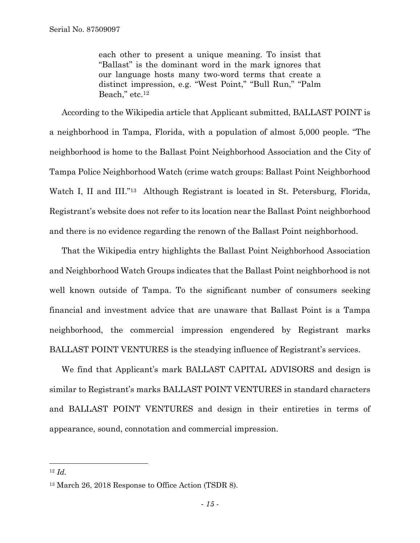each other to present a unique meaning. To insist that "Ballast" is the dominant word in the mark ignores that our language hosts many two-word terms that create a distinct impression, e.g. "West Point," "Bull Run," "Palm Beach," etc.<sup>12</sup>

According to the Wikipedia article that Applicant submitted, BALLAST POINT is a neighborhood in Tampa, Florida, with a population of almost 5,000 people. "The neighborhood is home to the Ballast Point Neighborhood Association and the City of Tampa Police Neighborhood Watch (crime watch groups: Ballast Point Neighborhood Watch I, II and III."<sup>13</sup> Although Registrant is located in St. Petersburg, Florida, Registrant's website does not refer to its location near the Ballast Point neighborhood and there is no evidence regarding the renown of the Ballast Point neighborhood.

That the Wikipedia entry highlights the Ballast Point Neighborhood Association and Neighborhood Watch Groups indicates that the Ballast Point neighborhood is not well known outside of Tampa. To the significant number of consumers seeking financial and investment advice that are unaware that Ballast Point is a Tampa neighborhood, the commercial impression engendered by Registrant marks BALLAST POINT VENTURES is the steadying influence of Registrant's services.

We find that Applicant's mark BALLAST CAPITAL ADVISORS and design is similar to Registrant's marks BALLAST POINT VENTURES in standard characters and BALLAST POINT VENTURES and design in their entireties in terms of appearance, sound, connotation and commercial impression.

1

<sup>12</sup> *Id.* 

<sup>13</sup> March 26, 2018 Response to Office Action (TSDR 8).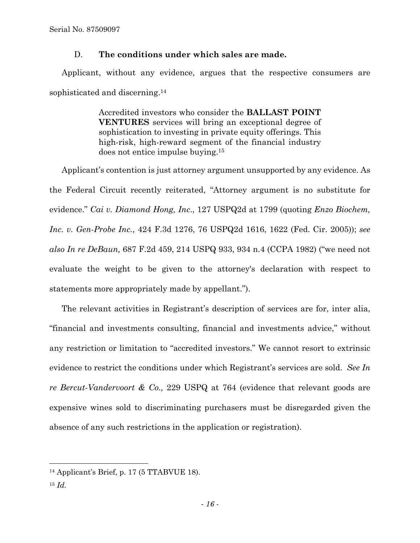Serial No. 87509097

# D. **The conditions under which sales are made.**

Applicant, without any evidence, argues that the respective consumers are sophisticated and discerning.14

> Accredited investors who consider the **BALLAST POINT VENTURES** services will bring an exceptional degree of sophistication to investing in private equity offerings. This high-risk, high-reward segment of the financial industry does not entice impulse buying.15

Applicant's contention is just attorney argument unsupported by any evidence. As the Federal Circuit recently reiterated, "Attorney argument is no substitute for evidence." *Cai v. Diamond Hong, Inc*., 127 USPQ2d at 1799 (quoting *Enzo Biochem, Inc. v. Gen-Probe Inc.*, 424 F.3d 1276, 76 USPQ2d 1616, 1622 (Fed. Cir. 2005)); *see also In re DeBaun,* 687 F.2d 459, 214 USPQ 933, 934 n.4 (CCPA 1982) ("we need not evaluate the weight to be given to the attorney's declaration with respect to statements more appropriately made by appellant.").

The relevant activities in Registrant's description of services are for, inter alia, "financial and investments consulting, financial and investments advice," without any restriction or limitation to "accredited investors." We cannot resort to extrinsic evidence to restrict the conditions under which Registrant's services are sold. *See In re Bercut-Vandervoort & Co.,* 229 USPQ at 764 (evidence that relevant goods are expensive wines sold to discriminating purchasers must be disregarded given the absence of any such restrictions in the application or registration).

<sup>14</sup> Applicant's Brief, p. 17 (5 TTABVUE 18).

 $15 \; Id.$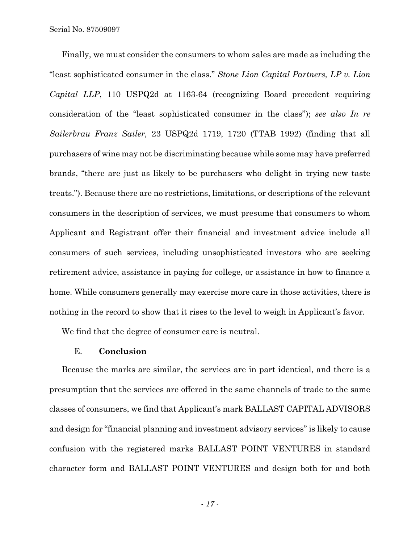Serial No. 87509097

Finally, we must consider the consumers to whom sales are made as including the "least sophisticated consumer in the class." *Stone Lion Capital Partners, LP v. Lion Capital LLP*, 110 USPQ2d at 1163-64 (recognizing Board precedent requiring consideration of the "least sophisticated consumer in the class"); *see also In re Sailerbrau Franz Sailer,* 23 USPQ2d 1719, 1720 (TTAB 1992) (finding that all purchasers of wine may not be discriminating because while some may have preferred brands, "there are just as likely to be purchasers who delight in trying new taste treats."). Because there are no restrictions, limitations, or descriptions of the relevant consumers in the description of services, we must presume that consumers to whom Applicant and Registrant offer their financial and investment advice include all consumers of such services, including unsophisticated investors who are seeking retirement advice, assistance in paying for college, or assistance in how to finance a home. While consumers generally may exercise more care in those activities, there is nothing in the record to show that it rises to the level to weigh in Applicant's favor.

We find that the degree of consumer care is neutral.

# E. **Conclusion**

Because the marks are similar, the services are in part identical, and there is a presumption that the services are offered in the same channels of trade to the same classes of consumers, we find that Applicant's mark BALLAST CAPITAL ADVISORS and design for "financial planning and investment advisory services" is likely to cause confusion with the registered marks BALLAST POINT VENTURES in standard character form and BALLAST POINT VENTURES and design both for and both

*- 17 -*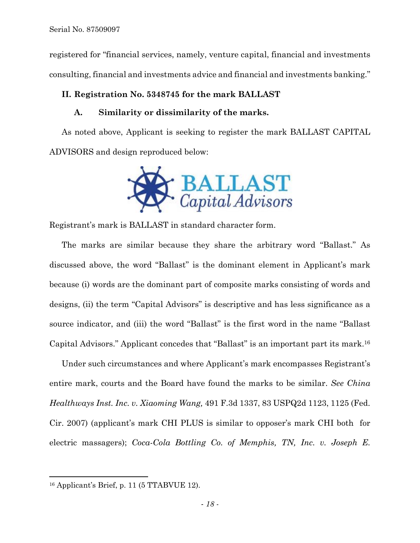registered for "financial services, namely, venture capital, financial and investments consulting, financial and investments advice and financial and investments banking."

# **II. Registration No. 5348745 for the mark BALLAST**

# **A. Similarity or dissimilarity of the marks.**

As noted above, Applicant is seeking to register the mark BALLAST CAPITAL ADVISORS and design reproduced below:



Registrant's mark is BALLAST in standard character form.

The marks are similar because they share the arbitrary word "Ballast." As discussed above, the word "Ballast" is the dominant element in Applicant's mark because (i) words are the dominant part of composite marks consisting of words and designs, (ii) the term "Capital Advisors" is descriptive and has less significance as a source indicator, and (iii) the word "Ballast" is the first word in the name "Ballast Capital Advisors." Applicant concedes that "Ballast" is an important part its mark.16

Under such circumstances and where Applicant's mark encompasses Registrant's entire mark, courts and the Board have found the marks to be similar. *See China Healthways Inst. Inc. v. Xiaoming Wang,* 491 F.3d 1337, 83 USPQ2d 1123, 1125 (Fed. Cir. 2007) (applicant's mark CHI PLUS is similar to opposer's mark CHI both for electric massagers); *Coca-Cola Bottling Co. of Memphis, TN, Inc. v. Joseph E.* 

1

 $16$  Applicant's Brief, p. 11 (5 TTABVUE 12).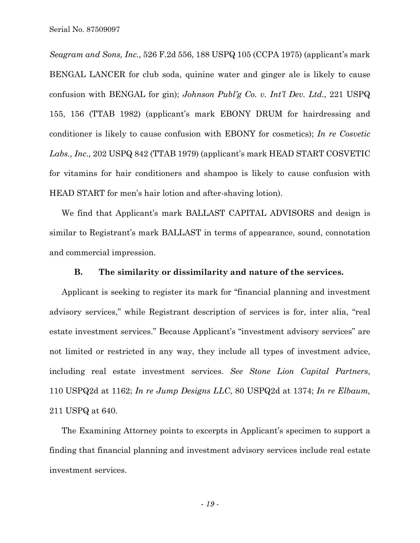*Seagram and Sons, Inc.,* 526 F.2d 556, 188 USPQ 105 (CCPA 1975) (applicant's mark BENGAL LANCER for club soda, quinine water and ginger ale is likely to cause confusion with BENGAL for gin); *Johnson Publ'g Co. v. Int'l Dev. Ltd.,* 221 USPQ 155, 156 (TTAB 1982) (applicant's mark EBONY DRUM for hairdressing and conditioner is likely to cause confusion with EBONY for cosmetics); *In re Cosvetic Labs., Inc.,* 202 USPQ 842 (TTAB 1979) (applicant's mark HEAD START COSVETIC for vitamins for hair conditioners and shampoo is likely to cause confusion with HEAD START for men's hair lotion and after-shaving lotion).

We find that Applicant's mark BALLAST CAPITAL ADVISORS and design is similar to Registrant's mark BALLAST in terms of appearance, sound, connotation and commercial impression.

#### **B. The similarity or dissimilarity and nature of the services.**

Applicant is seeking to register its mark for "financial planning and investment advisory services," while Registrant description of services is for, inter alia, "real estate investment services." Because Applicant's "investment advisory services" are not limited or restricted in any way, they include all types of investment advice, including real estate investment services. *See Stone Lion Capital Partners*, 110 USPQ2d at 1162; *In re Jump Designs LLC*, 80 USPQ2d at 1374; *In re Elbaum,*  211 USPQ at 640.

The Examining Attorney points to excerpts in Applicant's specimen to support a finding that financial planning and investment advisory services include real estate investment services.

*- 19 -*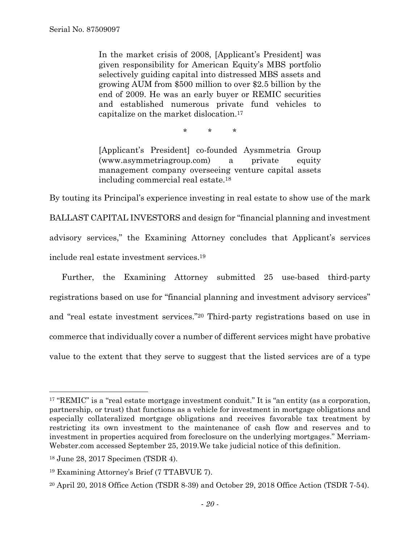In the market crisis of 2008, [Applicant's President] was given responsibility for American Equity's MBS portfolio selectively guiding capital into distressed MBS assets and growing AUM from \$500 million to over \$2.5 billion by the end of 2009. He was an early buyer or REMIC securities and established numerous private fund vehicles to capitalize on the market dislocation.17

\* \* \*

[Applicant's President] co-founded Aysmmetria Group (www.asymmetriagroup.com) a private equity management company overseeing venture capital assets including commercial real estate.18

By touting its Principal's experience investing in real estate to show use of the mark BALLAST CAPITAL INVESTORS and design for "financial planning and investment advisory services," the Examining Attorney concludes that Applicant's services include real estate investment services.19

Further, the Examining Attorney submitted 25 use-based third-party registrations based on use for "financial planning and investment advisory services" and "real estate investment services."20 Third-party registrations based on use in commerce that individually cover a number of different services might have probative value to the extent that they serve to suggest that the listed services are of a type

<sup>&</sup>lt;sup>17</sup> "REMIC" is a "real estate mortgage investment conduit." It is "an entity (as a corporation, partnership, or trust) that functions as a vehicle for investment in mortgage obligations and especially collateralized mortgage obligations and receives favorable tax treatment by restricting its own investment to the maintenance of cash flow and reserves and to investment in properties acquired from foreclosure on the underlying mortgages." Merriam-Webster.com accessed September 25, 2019.We take judicial notice of this definition.

<sup>18</sup> June 28, 2017 Specimen (TSDR 4).

<sup>19</sup> Examining Attorney's Brief (7 TTABVUE 7).

 $20$  April 20, 2018 Office Action (TSDR 8-39) and October 29, 2018 Office Action (TSDR 7-54).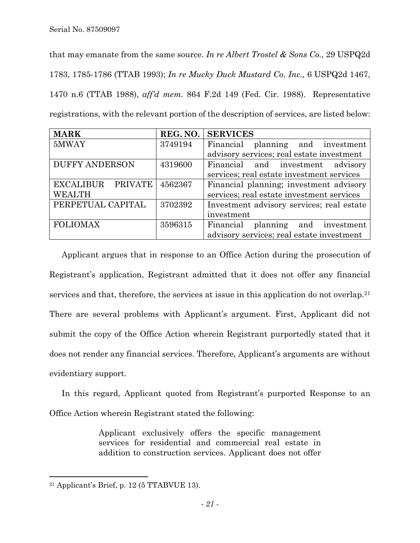that may emanate from the same source. *In re Albert Trostel & Sons Co.,* 29 USPQ2d 1783, 1785-1786 (TTAB 1993); *In re Mucky Duck Mustard Co. Inc.,* 6 USPQ2d 1467, 1470 n.6 (TTAB 1988), *aff'd mem.* 864 F.2d 149 (Fed. Cir. 1988). Representative registrations, with the relevant portion of the description of services, are listed below:

| <b>MARK</b>                 | REG. NO. | <b>SERVICES</b>                           |
|-----------------------------|----------|-------------------------------------------|
| 5MWAY                       | 3749194  | planning and investment<br>Financial      |
|                             |          | advisory services; real estate investment |
| <b>DUFFY ANDERSON</b>       | 4319600  | Financial and investment advisory         |
|                             |          | services; real estate investment services |
| <b>EXCALIBUR</b><br>PRIVATE | 4562367  | Financial planning; investment advisory   |
| <b>WEALTH</b>               |          | services; real estate investment services |
| PERPETUAL CAPITAL           | 3702392  | Investment advisory services; real estate |
|                             |          | investment                                |
| <b>FOLIOMAX</b>             | 3596315  | planning and investment<br>Financial      |
|                             |          | advisory services; real estate investment |

Applicant argues that in response to an Office Action during the prosecution of Registrant's application, Registrant admitted that it does not offer any financial services and that, therefore, the services at issue in this application do not overlap.21 There are several problems with Applicant's argument. First, Applicant did not submit the copy of the Office Action wherein Registrant purportedly stated that it does not render any financial services. Therefore, Applicant's arguments are without evidentiary support.

In this regard, Applicant quoted from Registrant's purported Response to an Office Action wherein Registrant stated the following:

> Applicant exclusively offers the specific management services for residential and commercial real estate in addition to construction services. Applicant does not offer

1

 $21$  Applicant's Brief, p. 12 (5 TTABVUE 13).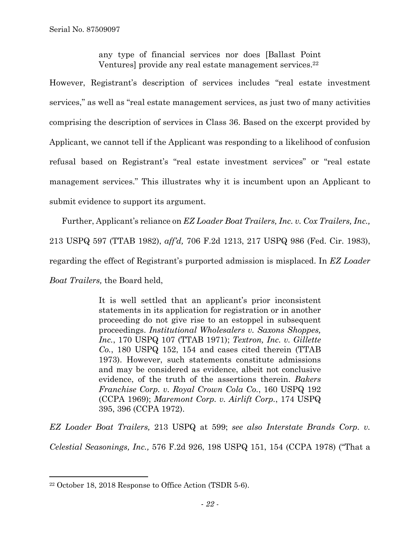any type of financial services nor does [Ballast Point Ventures] provide any real estate management services.<sup>22</sup>

However, Registrant's description of services includes "real estate investment services," as well as "real estate management services, as just two of many activities comprising the description of services in Class 36. Based on the excerpt provided by Applicant, we cannot tell if the Applicant was responding to a likelihood of confusion refusal based on Registrant's "real estate investment services" or "real estate management services." This illustrates why it is incumbent upon an Applicant to submit evidence to support its argument.

Further, Applicant's reliance on *EZ Loader Boat Trailers, Inc. v. Cox Trailers, Inc.,*  213 USPQ 597 (TTAB 1982), *aff'd,* 706 F.2d 1213, 217 USPQ 986 (Fed. Cir. 1983), regarding the effect of Registrant's purported admission is misplaced. In *EZ Loader Boat Trailers,* the Board held,

> It is well settled that an applicant's prior inconsistent statements in its application for registration or in another proceeding do not give rise to an estoppel in subsequent proceedings. *Institutional Wholesalers v. Saxons Shoppes, Inc.*, 170 USPQ 107 (TTAB 1971); *Textron, Inc. v. Gillette Co.*, 180 USPQ 152, 154 and cases cited therein (TTAB 1973). However, such statements constitute admissions and may be considered as evidence, albeit not conclusive evidence, of the truth of the assertions therein. *Bakers Franchise Corp. v. Royal Crown Cola Co.*, 160 USPQ 192 (CCPA 1969); *Maremont Corp. v. Airlift Corp.*, 174 USPQ 395, 396 (CCPA 1972).

*EZ Loader Boat Trailers,* 213 USPQ at 599; *see also Interstate Brands Corp. v. Celestial Seasonings, Inc.,* 576 F.2d 926, 198 USPQ 151, 154 (CCPA 1978) ("That a

1

<sup>22</sup> October 18, 2018 Response to Office Action (TSDR 5-6).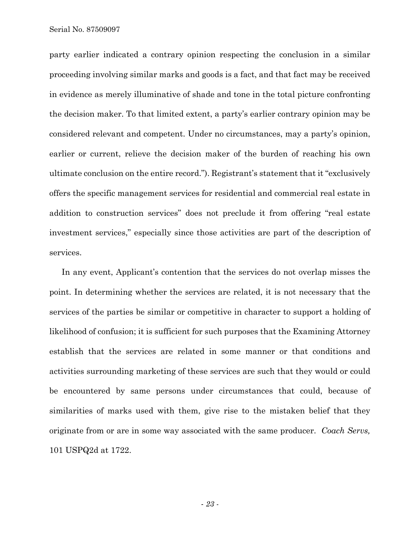Serial No. 87509097

party earlier indicated a contrary opinion respecting the conclusion in a similar proceeding involving similar marks and goods is a fact, and that fact may be received in evidence as merely illuminative of shade and tone in the total picture confronting the decision maker. To that limited extent, a party's earlier contrary opinion may be considered relevant and competent. Under no circumstances, may a party's opinion, earlier or current, relieve the decision maker of the burden of reaching his own ultimate conclusion on the entire record."). Registrant's statement that it "exclusively offers the specific management services for residential and commercial real estate in addition to construction services" does not preclude it from offering "real estate investment services," especially since those activities are part of the description of services.

In any event, Applicant's contention that the services do not overlap misses the point. In determining whether the services are related, it is not necessary that the services of the parties be similar or competitive in character to support a holding of likelihood of confusion; it is sufficient for such purposes that the Examining Attorney establish that the services are related in some manner or that conditions and activities surrounding marketing of these services are such that they would or could be encountered by same persons under circumstances that could, because of similarities of marks used with them, give rise to the mistaken belief that they originate from or are in some way associated with the same producer. *Coach Servs,*  101 USPQ2d at 1722.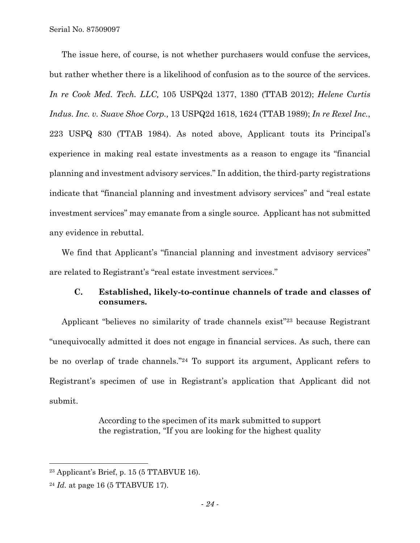Serial No. 87509097

The issue here, of course, is not whether purchasers would confuse the services, but rather whether there is a likelihood of confusion as to the source of the services. *In re Cook Med. Tech. LLC,* 105 USPQ2d 1377, 1380 (TTAB 2012); *Helene Curtis Indus. Inc. v. Suave Shoe Corp.,* 13 USPQ2d 1618, 1624 (TTAB 1989); *In re Rexel Inc.*, 223 USPQ 830 (TTAB 1984). As noted above, Applicant touts its Principal's experience in making real estate investments as a reason to engage its "financial planning and investment advisory services." In addition, the third-party registrations indicate that "financial planning and investment advisory services" and "real estate investment services" may emanate from a single source. Applicant has not submitted any evidence in rebuttal.

We find that Applicant's "financial planning and investment advisory services" are related to Registrant's "real estate investment services."

# **C. Established, likely-to-continue channels of trade and classes of consumers.**

Applicant "believes no similarity of trade channels exist"23 because Registrant "unequivocally admitted it does not engage in financial services. As such, there can be no overlap of trade channels."24 To support its argument, Applicant refers to Registrant's specimen of use in Registrant's application that Applicant did not submit.

> According to the specimen of its mark submitted to support the registration, "If you are looking for the highest quality

 $23$  Applicant's Brief, p. 15 (5 TTABVUE 16).

<sup>24</sup> *Id.* at page 16 (5 TTABVUE 17).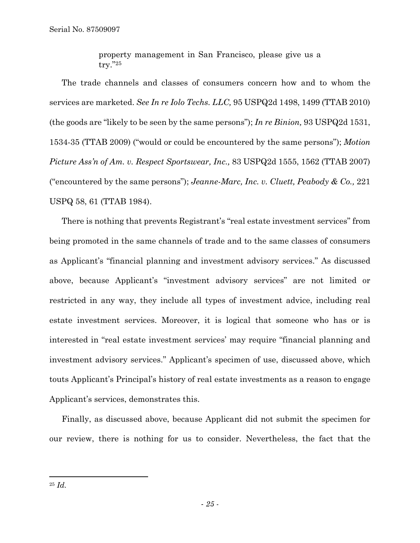property management in San Francisco, please give us a try."25

The trade channels and classes of consumers concern how and to whom the services are marketed. *See In re Iolo Techs. LLC,* 95 USPQ2d 1498, 1499 (TTAB 2010) (the goods are "likely to be seen by the same persons"); *In re Binion,* 93 USPQ2d 1531, 1534-35 (TTAB 2009) ("would or could be encountered by the same persons"); *Motion Picture Ass'n of Am. v. Respect Sportswear, Inc.,* 83 USPQ2d 1555, 1562 (TTAB 2007) ("encountered by the same persons"); *Jeanne-Marc, Inc. v. Cluett, Peabody & Co.,* 221 USPQ 58, 61 (TTAB 1984).

There is nothing that prevents Registrant's "real estate investment services" from being promoted in the same channels of trade and to the same classes of consumers as Applicant's "financial planning and investment advisory services." As discussed above, because Applicant's "investment advisory services" are not limited or restricted in any way, they include all types of investment advice, including real estate investment services. Moreover, it is logical that someone who has or is interested in "real estate investment services' may require "financial planning and investment advisory services." Applicant's specimen of use, discussed above, which touts Applicant's Principal's history of real estate investments as a reason to engage Applicant's services, demonstrates this.

Finally, as discussed above, because Applicant did not submit the specimen for our review, there is nothing for us to consider. Nevertheless, the fact that the

<sup>25</sup> *Id.*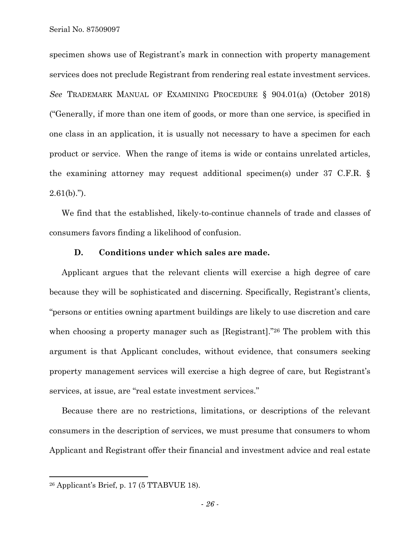specimen shows use of Registrant's mark in connection with property management services does not preclude Registrant from rendering real estate investment services. *See* TRADEMARK MANUAL OF EXAMINING PROCEDURE § 904.01(a) (October 2018) ("Generally, if more than one item of goods, or more than one service, is specified in one class in an application, it is usually not necessary to have a specimen for each product or service. When the range of items is wide or contains unrelated articles, the examining attorney may request additional specimen(s) under 37 C.F.R. §  $2.61(b)$ .").

We find that the established, likely-to-continue channels of trade and classes of consumers favors finding a likelihood of confusion.

# **D. Conditions under which sales are made.**

Applicant argues that the relevant clients will exercise a high degree of care because they will be sophisticated and discerning. Specifically, Registrant's clients, "persons or entities owning apartment buildings are likely to use discretion and care when choosing a property manager such as [Registrant]."26 The problem with this argument is that Applicant concludes, without evidence, that consumers seeking property management services will exercise a high degree of care, but Registrant's services, at issue, are "real estate investment services."

Because there are no restrictions, limitations, or descriptions of the relevant consumers in the description of services, we must presume that consumers to whom Applicant and Registrant offer their financial and investment advice and real estate

 $26$  Applicant's Brief, p. 17 (5 TTABVUE 18).